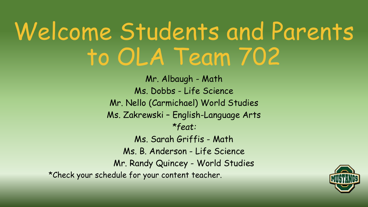### Welcome Students and Parents to OLA Team 702

Mr. Albaugh - Math Ms. Dobbs - Life Science Mr. Nello (Carmichael) World Studies Ms. Zakrewski – English-Language Arts *\*feat:* Ms. Sarah Griffis - Math Ms. B. Anderson - Life Science Mr. Randy Quincey - World Studies \*Check your schedule for your content teacher.

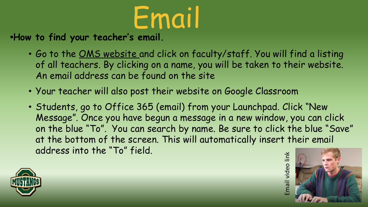

**•How to find your teacher's email.**

- Go to the [OMS website a](https://schoolwires.henry.k12.ga.us/oms)nd click on faculty/staff. You will find a listing of all teachers. By clicking on a name, you will be taken to their website. An email address can be found on the site
- Your teacher will also post their website on Google Classroom
- Students, go to Office 365 (email) from your Launchpad. Click "New Message". Once you have begun a message in a new window, you can click on the blue "To". You can search by name. Be sure to click the blue "Save" at the bottom of the screen. This will automatically insert their email address into the "To" field. Email video link



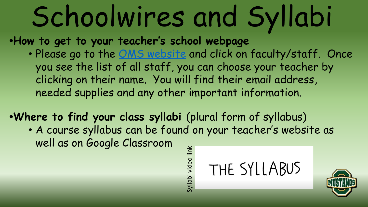# Schoolwires and Syllabi

**•How to get to your teacher's school webpage**

• Please go to the **OMS** website and click on faculty/staff. Once you see the list of all staff, you can choose your teacher by clicking on their name. You will find their email address, needed supplies and any other important information.

**•Where to find your class syllabi** (plural form of syllabus) • A course syllabus can be found on your teacher's website as

well as on Google Classroom

Syllabi video link Syllabi video link

THE SYLLABUS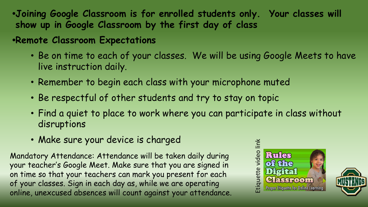- **•Joining Google Classroom is for enrolled students only. Your classes will show up in Google Classroom by the first day of class**
- **•Remote Classroom Expectations**
	- Be on time to each of your classes. We will be using Google Meets to have live instruction daily.
	- Remember to begin each class with your microphone muted
	- Be respectful of other students and try to stay on topic
	- Find a quiet to place to work where you can participate in class without disruptions
	- Make sure your device is charged

Mandatory Attendance: Attendance will be taken daily during your teacher's Google Meet. Make sure that you are signed in on time so that your teachers can mark you present for each of your classes. Sign in each day as, while we are operating online, unexcused absences will count against your attendance.



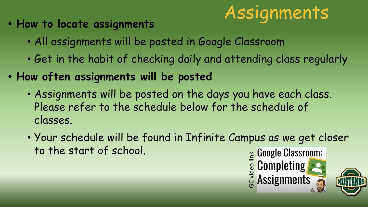

- **• How to locate assignments**
	- All assignments will be posted in Google Classroom
	- Get in the habit of checking daily and attending class regularly
- **• How often assignments will be posted**
	- Assignments will be posted on the days you have each class. Please refer to the schedule below for the schedule of classes.
	- Your schedule will be found in Infinite Campus as we get closer to the start of school. E Google Classroom:<br> **Google Classroom:**<br>
	Google Classroom:<br>
	Google Classroom: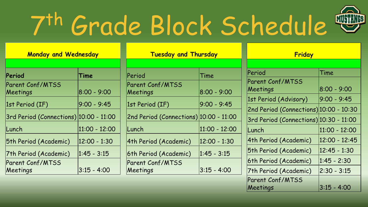# 7 th Grade Block Schedule

| <b>Monday and Wednesday</b>                  |                   | <b>Tuesday and Thursday</b>                   |                   | Friday                                                          |                   |
|----------------------------------------------|-------------------|-----------------------------------------------|-------------------|-----------------------------------------------------------------|-------------------|
| Period                                       | Time              | Period                                        | Time              | Period                                                          | Time              |
| Parent Conf/MTSS<br>Meetings                 | $ 8:00 - 9:00 $   | Parent Conf/MTSS<br>Meetings                  | $ 8:00 - 9:00 $   | <b>Parent Conf/MTSS</b><br>Meetings                             | $ 8:00 - 9:00 $   |
| 1st Period (IF)                              | $ 9:00 - 9:45 $   | 1st Period (IF)                               | $9:00 - 9:45$     | 1st Period (Advisory)<br>2nd Period (Connections) 10:00 - 10:30 | $9:00 - 9:45$     |
| $ 3rd$ Period (Connections) $ 10:00 - 11:00$ |                   | $ 2$ nd Period (Connections) $ 10:00 - 11:00$ |                   | 3rd Period (Connections) 10:30 - 11:00                          |                   |
| Lunch                                        | $ 11:00 - 12:00 $ | Lunch                                         | $ 11:00 - 12:00 $ | Lunch                                                           | $ 11:00 - 12:00 $ |
| 5th Period (Academic)                        | $ 12:00 - 1:30 $  | 4th Period (Academic)                         | $ 12:00 - 1:30$   | 4th Period (Academic)                                           | $ 12:00 - 12:45$  |
| 7th Period (Academic)                        | $ 1:45 - 3:15 $   | 6th Period (Academic)                         | $ 1:45 - 3:15 $   | 5th Period (Academic)                                           | $ 12:45 - 1:30 $  |
| Parent Conf/MTSS                             |                   | Parent Conf/MTSS                              |                   | 6th Period (Academic)                                           | $1:45 - 2:30$     |
| Meetings                                     | $ 3:15 - 4:00 $   | Meetings                                      | $ 3:15 - 4:00 $   | 7th Period (Academic)                                           | $ 2:30 - 3:15 $   |

| $\mathcal{V}$ in the top $\mathcal{V}$ is the set of $\mathcal{V}$ | I . I J<br>・」、し |
|--------------------------------------------------------------------|-----------------|
| 7th Period (Academic)                                              | $ 2:30 - 3:15 $ |
| Parent Conf/MTSS                                                   |                 |
| Meetings                                                           | $ 3:15 - 4:00 $ |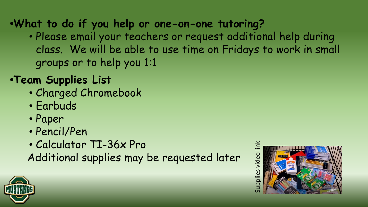**•What to do if you help or one-on-one tutoring?**

• Please email your teachers or request additional help during class. We will be able to use time on Fridays to work in small groups or to help you 1:1

#### **•Team Supplies List**

- Charged Chromebook
- Earbuds
- Paper
- Pencil/Pen
- Calculator TI-36x Pro

Additional supplies may be requested later

upplies video link Supplies video link